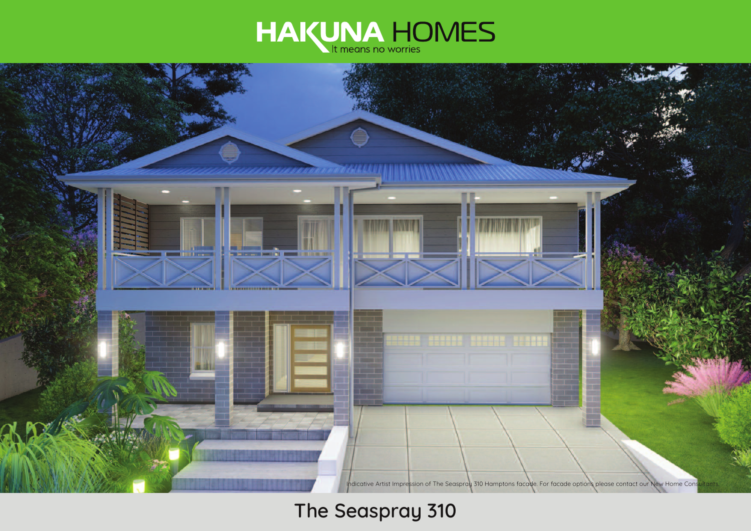



# **The Seaspray 310**